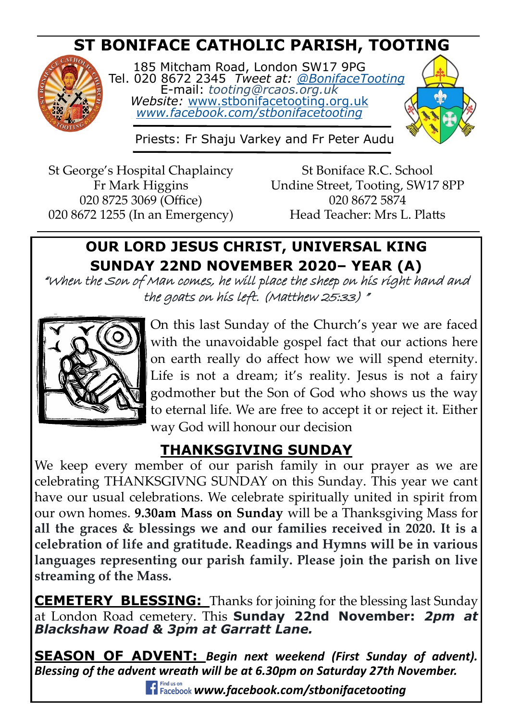# **ST BONIFACE CATHOLIC PARISH, TOOTING**



185 Mitcham Road, London SW17 9PG Tel. 020 8672 2345 *Tweet at: [@BonifaceTooting](http://twitter.com/bonifacetooting)* E-mail: *tooting@rcaos.org.uk Website:* [www.stbonifacetooting.org.uk](http://www.stbonifacetooting.org.uk) *[www.facebook.com/stbonifacetooting](http://www.facebook.com/stbonifacetooting)*



Priests: Fr Shaju Varkey and Fr Peter Audu

St George's Hospital Chaplaincy Fr Mark Higgins 020 8725 3069 (Office) 020 8672 1255 (In an Emergency)

St Boniface R.C. School Undine Street, Tooting, SW17 8PP 020 8672 5874 Head Teacher: Mrs L. Platts

# **OUR LORD JESUS CHRIST, UNIVERSAL KING SUNDAY 22ND NOVEMBER 2020– YEAR (A)**

"When the Son of Man comes, he will place the sheep on his right hand and the goats on his left. (Matthew 25:33) "



On this last Sunday of the Church's year we are faced with the unavoidable gospel fact that our actions here on earth really do affect how we will spend eternity. Life is not a dream; it's reality. Jesus is not a fairy godmother but the Son of God who shows us the way to eternal life. We are free to accept it or reject it. Either way God will honour our decision

# **THANKSGIVING SUNDAY**

We keep every member of our parish family in our prayer as we are celebrating THANKSGIVNG SUNDAY on this Sunday. This year we cant have our usual celebrations. We celebrate spiritually united in spirit from our own homes. **9.30am Mass on Sunday** will be a Thanksgiving Mass for **all the graces & blessings we and our families received in 2020. It is a celebration of life and gratitude. Readings and Hymns will be in various languages representing our parish family. Please join the parish on live streaming of the Mass.**

**CEMETERY BLESSING:** Thanks for joining for the blessing last Sunday at London Road cemetery. This **Sunday 22nd November:** *2pm at Blackshaw Road & 3pm at Garratt Lane.*

**SEASON OF ADVENT:** *Begin next weekend (First Sunday of advent). Blessing of the advent wreath will be at 6.30pm on Saturday 27th November.*

*www.facebook.com/stbonifacetooting*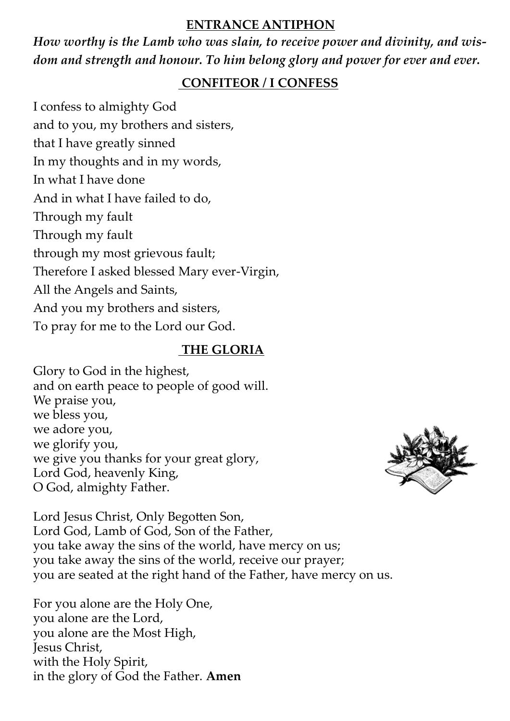### **ENTRANCE ANTIPHON**

*How worthy is the Lamb who was slain, to receive power and divinity, and wisdom and strength and honour. To him belong glory and power for ever and ever.*

### **CONFITEOR / I CONFESS**

I confess to almighty God

and to you, my brothers and sisters,

that I have greatly sinned

In my thoughts and in my words,

In what I have done

And in what I have failed to do,

Through my fault

Through my fault

through my most grievous fault;

Therefore I asked blessed Mary ever-Virgin,

All the Angels and Saints,

And you my brothers and sisters,

To pray for me to the Lord our God.

### **THE GLORIA**

Glory to God in the highest, and on earth peace to people of good will. We praise you, we bless you, we adore you, we glorify you, we give you thanks for your great glory, Lord God, heavenly King, O God, almighty Father.



Lord Jesus Christ, Only Begotten Son, Lord God, Lamb of God, Son of the Father, you take away the sins of the world, have mercy on us; you take away the sins of the world, receive our prayer; you are seated at the right hand of the Father, have mercy on us.

For you alone are the Holy One, you alone are the Lord, you alone are the Most High, Jesus Christ, with the Holy Spirit, in the glory of God the Father. **Amen**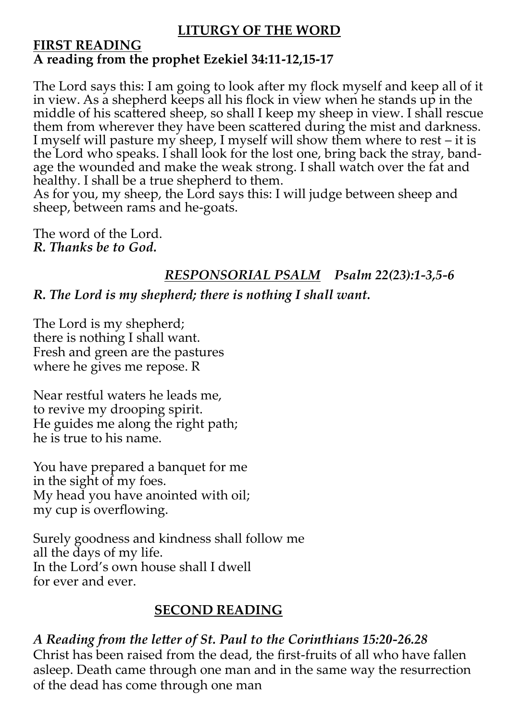## **LITURGY OF THE WORD**

#### **FIRST READING A reading from the prophet Ezekiel 34:11-12,15-17**

The Lord says this: I am going to look after my flock myself and keep all of it in view. As a shepherd keeps all his flock in view when he stands up in the middle of his scattered sheep, so shall I keep my sheep in view. I shall rescue them from wherever they have been scattered during the mist and darkness. I myself will pasture my sheep, I myself will show them where to rest – it is the Lord who speaks. I shall look for the lost one, bring back the stray, bandage the wounded and make the weak strong. I shall watch over the fat and healthy. I shall be a true shepherd to them.

As for you, my sheep, the Lord says this: I will judge between sheep and sheep, between rams and he-goats.

The word of the Lord. *R. Thanks be to God.* 

# *RESPONSORIAL PSALM Psalm 22(23):1-3,5-6*

### *R. The Lord is my shepherd; there is nothing I shall want.*

The Lord is my shepherd; there is nothing I shall want. Fresh and green are the pastures where he gives me repose. R

Near restful waters he leads me, to revive my drooping spirit. He guides me along the right path; he is true to his name.

You have prepared a banquet for me in the sight of my foes. My head you have anointed with oil; my cup is overflowing.

Surely goodness and kindness shall follow me all the days of my life. In the Lord's own house shall I dwell for ever and ever.

### **SECOND READING**

### *A Reading from the letter of St. Paul to the Corinthians 15:20-26.28* Christ has been raised from the dead, the first-fruits of all who have fallen asleep. Death came through one man and in the same way the resurrection of the dead has come through one man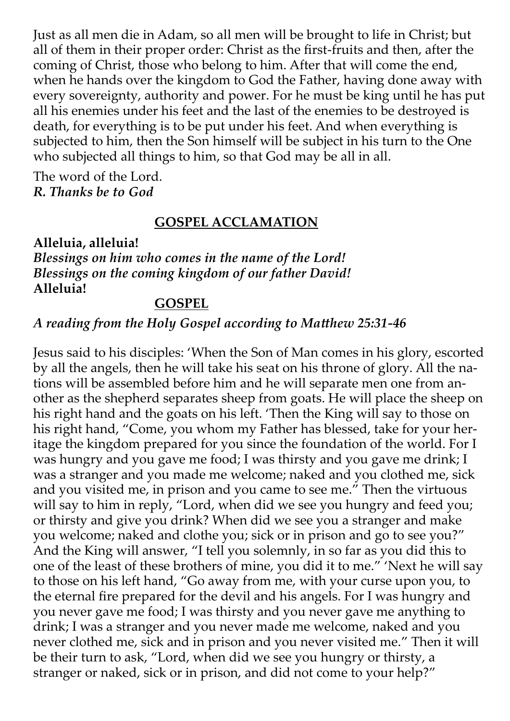Just as all men die in Adam, so all men will be brought to life in Christ; but all of them in their proper order: Christ as the first-fruits and then, after the coming of Christ, those who belong to him. After that will come the end, when he hands over the kingdom to God the Father, having done away with every sovereignty, authority and power. For he must be king until he has put all his enemies under his feet and the last of the enemies to be destroyed is death, for everything is to be put under his feet. And when everything is subjected to him, then the Son himself will be subject in his turn to the One who subjected all things to him, so that God may be all in all.

The word of the Lord. *R. Thanks be to God*

#### **GOSPEL ACCLAMATION**

**Alleluia, alleluia!**  *Blessings on him who comes in the name of the Lord! Blessings on the coming kingdom of our father David!* **Alleluia!**

#### **GOSPEL**

# *A reading from the Holy Gospel according to Matthew 25:31-46*

Jesus said to his disciples: 'When the Son of Man comes in his glory, escorted by all the angels, then he will take his seat on his throne of glory. All the nations will be assembled before him and he will separate men one from another as the shepherd separates sheep from goats. He will place the sheep on his right hand and the goats on his left. 'Then the King will say to those on his right hand, "Come, you whom my Father has blessed, take for your heritage the kingdom prepared for you since the foundation of the world. For I was hungry and you gave me food; I was thirsty and you gave me drink; I was a stranger and you made me welcome; naked and you clothed me, sick and you visited me, in prison and you came to see me." Then the virtuous will say to him in reply, "Lord, when did we see you hungry and feed you; or thirsty and give you drink? When did we see you a stranger and make you welcome; naked and clothe you; sick or in prison and go to see you?" And the King will answer, "I tell you solemnly, in so far as you did this to one of the least of these brothers of mine, you did it to me." 'Next he will say to those on his left hand, "Go away from me, with your curse upon you, to the eternal fire prepared for the devil and his angels. For I was hungry and you never gave me food; I was thirsty and you never gave me anything to drink; I was a stranger and you never made me welcome, naked and you never clothed me, sick and in prison and you never visited me." Then it will be their turn to ask, "Lord, when did we see you hungry or thirsty, a stranger or naked, sick or in prison, and did not come to your help?"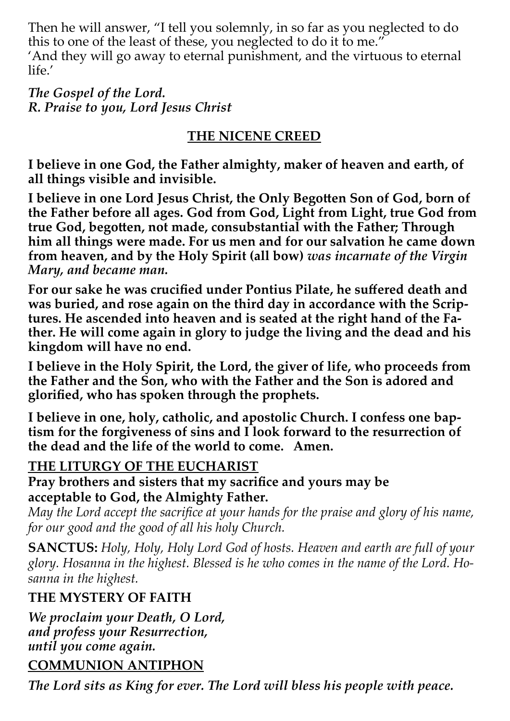Then he will answer, "I tell you solemnly, in so far as you neglected to do this to one of the least of these, you neglected to do it to me." 'And they will go away to eternal punishment, and the virtuous to eternal life.'

*The Gospel of the Lord. R. Praise to you, Lord Jesus Christ*

# **THE NICENE CREED**

**I believe in one God, the Father almighty, maker of heaven and earth, of all things visible and invisible.**

**I believe in one Lord Jesus Christ, the Only Begotten Son of God, born of the Father before all ages. God from God, Light from Light, true God from true God, begotten, not made, consubstantial with the Father; Through him all things were made. For us men and for our salvation he came down from heaven, and by the Holy Spirit (all bow)** *was incarnate of the Virgin Mary, and became man.*

**For our sake he was crucified under Pontius Pilate, he suffered death and was buried, and rose again on the third day in accordance with the Scriptures. He ascended into heaven and is seated at the right hand of the Father. He will come again in glory to judge the living and the dead and his kingdom will have no end.**

**I believe in the Holy Spirit, the Lord, the giver of life, who proceeds from the Father and the Son, who with the Father and the Son is adored and glorified, who has spoken through the prophets.** 

**I believe in one, holy, catholic, and apostolic Church. I confess one baptism for the forgiveness of sins and I look forward to the resurrection of the dead and the life of the world to come. Amen.** 

# **THE LITURGY OF THE EUCHARIST**

### **Pray brothers and sisters that my sacrifice and yours may be acceptable to God, the Almighty Father.**

*May the Lord accept the sacrifice at your hands for the praise and glory of his name, for our good and the good of all his holy Church.*

**SANCTUS:** *Holy, Holy, Holy Lord God of hosts. Heaven and earth are full of your glory. Hosanna in the highest. Blessed is he who comes in the name of the Lord. Hosanna in the highest.* 

# **THE MYSTERY OF FAITH**

*We proclaim your Death, O Lord, and profess your Resurrection, until you come again.* 

# **COMMUNION ANTIPHON**

*The Lord sits as King for ever. The Lord will bless his people with peace.*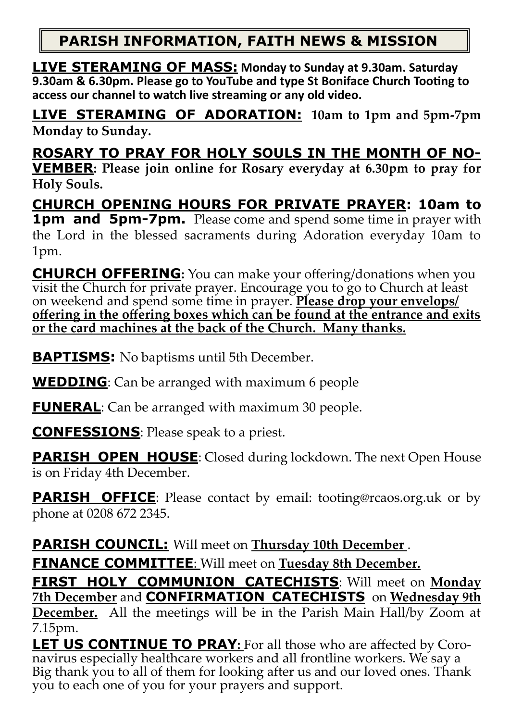**PARISH INFORMATION, FAITH NEWS & MISSION**

**LIVE STERAMING OF MASS: Monday to Sunday at 9.30am. Saturday 9.30am & 6.30pm. Please go to YouTube and type St Boniface Church Tooting to access our channel to watch live streaming or any old video.** 

**LIVE STERAMING OF ADORATION: 10am to 1pm and 5pm-7pm Monday to Sunday.**

**ROSARY TO PRAY FOR HOLY SOULS IN THE MONTH OF NO-VEMBER: Please join online for Rosary everyday at 6.30pm to pray for Holy Souls.**

**CHURCH OPENING HOURS FOR PRIVATE PRAYER: 10am to 1pm and 5pm-7pm.** Please come and spend some time in prayer with the Lord in the blessed sacraments during Adoration everyday 10am to 1pm.

**CHURCH OFFERING:** You can make your offering/donations when you visit the Church for private prayer. Encourage you to go to Church at least on weekend and spend some time in prayer. **Please drop your envelops/ offering in the offering boxes which can be found at the entrance and exits or the card machines at the back of the Church. Many thanks.**

**BAPTISMS:** No baptisms until 5th December.

**WEDDING**: Can be arranged with maximum 6 people

**FUNERAL:** Can be arranged with maximum 30 people.

**CONFESSIONS**: Please speak to a priest.

**PARISH OPEN HOUSE:** Closed during lockdown. The next Open House is on Friday 4th December.

**PARISH OFFICE:** Please contact by email: tooting@rcaos.org.uk or by phone at 0208 672 2345.

**PARISH COUNCIL:** Will meet on **Thursday 10th December** . **FINANCE COMMITTEE**: Will meet on **Tuesday 8th December. FIRST HOLY COMMUNION CATECHISTS**: Will meet on **Monday 7th December** and **CONFIRMATION CATECHISTS** on **Wednesday 9th December.** All the meetings will be in the Parish Main Hall/by Zoom at 7.15pm.

**LET US CONTINUE TO PRAY:** For all those who are affected by Coronavirus especially healthcare workers and all frontline workers. We say a Big thank you to all of them for looking after us and our loved ones. Thank you to each one of you for your prayers and support.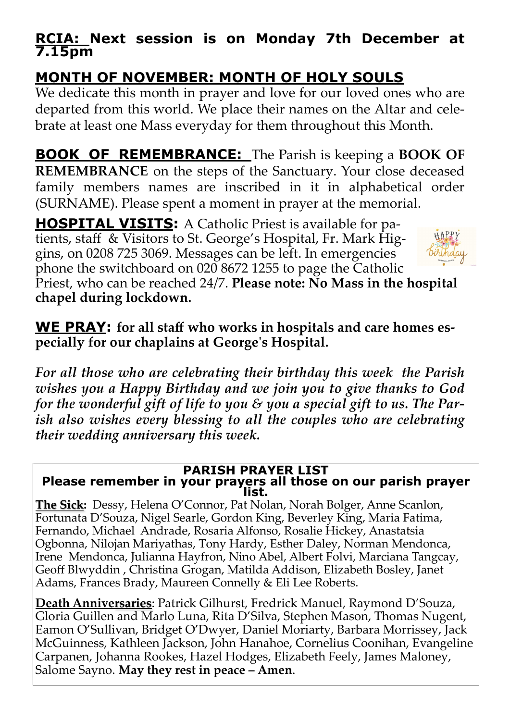# **RCIA: Next session is on Monday 7th December at 7.15pm**

# **MONTH OF NOVEMBER: MONTH OF HOLY SOULS**

We dedicate this month in prayer and love for our loved ones who are departed from this world. We place their names on the Altar and celebrate at least one Mass everyday for them throughout this Month.

**BOOK OF REMEMBRANCE:** The Parish is keeping a **BOOK OF REMEMBRANCE** on the steps of the Sanctuary. Your close deceased family members names are inscribed in it in alphabetical order (SURNAME). Please spent a moment in prayer at the memorial.

**HOSPITAL VISITS:** A Catholic Priest is available for patients, staff & Visitors to St. George's Hospital, Fr. Mark Higgins, on 0208 725 3069. Messages can be left. In emergencies phone the switchboard on 020 8672 1255 to page the Catholic



Priest, who can be reached 24/7. **Please note: No Mass in the hospital chapel during lockdown.**

**WE PRAY: for all staff who works in hospitals and care homes especially for our chaplains at George's Hospital.** 

*For all those who are celebrating their birthday this week the Parish wishes you a Happy Birthday and we join you to give thanks to God for the wonderful gift of life to you & you a special gift to us. The Parish also wishes every blessing to all the couples who are celebrating their wedding anniversary this week.*

# **PARISH PRAYER LIST**

**Please remember in your prayers all those on our parish prayer list.**

**The Sick:** Dessy, Helena O'Connor, Pat Nolan, Norah Bolger, Anne Scanlon, Fortunata D'Souza, Nigel Searle, Gordon King, Beverley King, Maria Fatima, Fernando, Michael Andrade, Rosaria Alfonso, Rosalie Hickey, Anastatsia Ogbonna, Nilojan Mariyathas, Tony Hardy, Esther Daley, Norman Mendonca, Irene Mendonca, Julianna Hayfron, Nino Abel, Albert Folvi, Marciana Tangcay, Geoff Blwyddin , Christina Grogan, Matilda Addison, Elizabeth Bosley, Janet Adams, Frances Brady, Maureen Connelly & Eli Lee Roberts.

**Death Anniversaries**: Patrick Gilhurst, Fredrick Manuel, Raymond D'Souza, Gloria Guillen and Marlo Luna, Rita D'Silva, Stephen Mason, Thomas Nugent, Eamon O'Sullivan, Bridget O'Dwyer, Daniel Moriarty, Barbara Morrissey, Jack McGuinness, Kathleen Jackson, John Hanahoe, Cornelius Coonihan, Evangeline Carpanen, Johanna Rookes, Hazel Hodges, Elizabeth Feely, James Maloney, Salome Sayno. **May they rest in peace – Amen**.